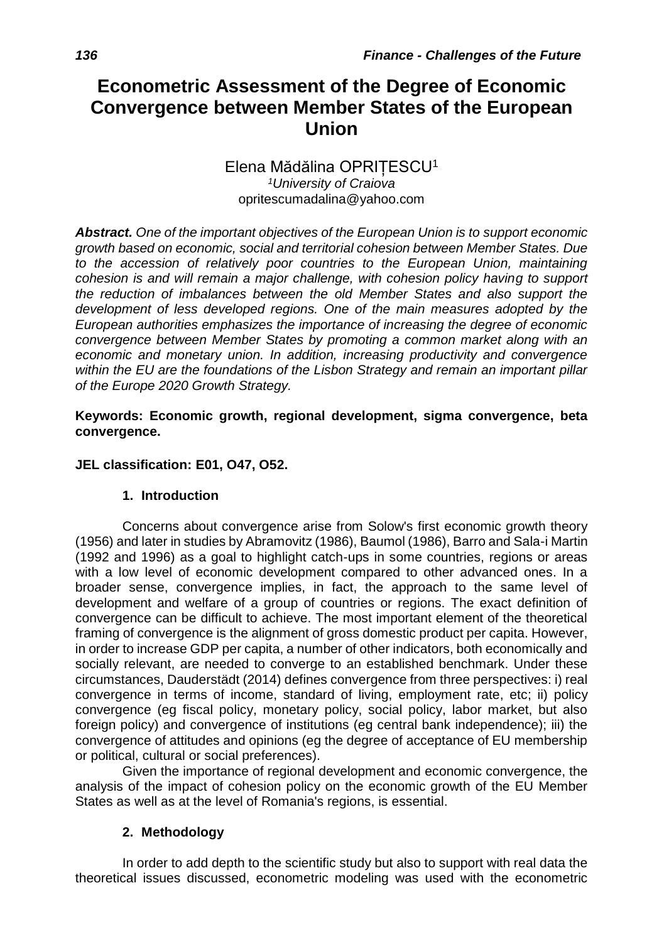# **Econometric Assessment of the Degree of Economic Convergence between Member States of the European Union**

## Elena Mădălina OPRIȚESCU<sup>1</sup> *<sup>1</sup>University of Craiova* opritescumadalina@yahoo.com

*Abstract. One of the important objectives of the European Union is to support economic growth based on economic, social and territorial cohesion between Member States. Due to the accession of relatively poor countries to the European Union, maintaining cohesion is and will remain a major challenge, with cohesion policy having to support the reduction of imbalances between the old Member States and also support the development of less developed regions. One of the main measures adopted by the European authorities emphasizes the importance of increasing the degree of economic convergence between Member States by promoting a common market along with an economic and monetary union. In addition, increasing productivity and convergence within the EU are the foundations of the Lisbon Strategy and remain an important pillar of the Europe 2020 Growth Strategy.*

#### **Keywords: Economic growth, regional development, sigma convergence, beta convergence.**

### **JEL classification: E01, O47, O52.**

#### **1. Introduction**

Concerns about convergence arise from Solow's first economic growth theory (1956) and later in studies by Abramovitz (1986), Baumol (1986), Barro and Sala-i Martin (1992 and 1996) as a goal to highlight catch-ups in some countries, regions or areas with a low level of economic development compared to other advanced ones. In a broader sense, convergence implies, in fact, the approach to the same level of development and welfare of a group of countries or regions. The exact definition of convergence can be difficult to achieve. The most important element of the theoretical framing of convergence is the alignment of gross domestic product per capita. However, in order to increase GDP per capita, a number of other indicators, both economically and socially relevant, are needed to converge to an established benchmark. Under these circumstances, Dauderstädt (2014) defines convergence from three perspectives: i) real convergence in terms of income, standard of living, employment rate, etc; ii) policy convergence (eg fiscal policy, monetary policy, social policy, labor market, but also foreign policy) and convergence of institutions (eg central bank independence); iii) the convergence of attitudes and opinions (eg the degree of acceptance of EU membership or political, cultural or social preferences).

Given the importance of regional development and economic convergence, the analysis of the impact of cohesion policy on the economic growth of the EU Member States as well as at the level of Romania's regions, is essential.

#### **2. Methodology**

In order to add depth to the scientific study but also to support with real data the theoretical issues discussed, econometric modeling was used with the econometric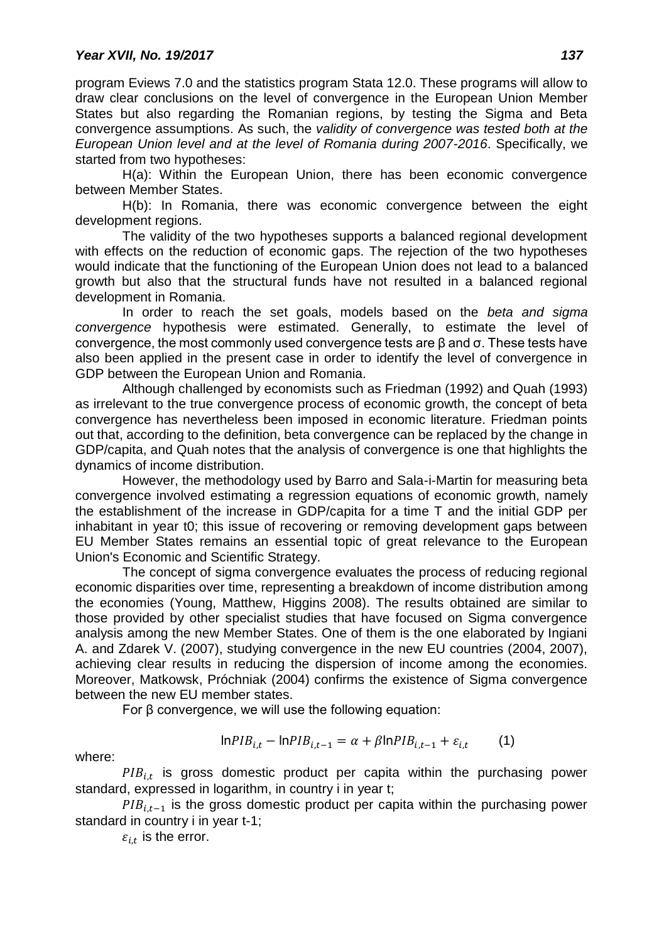program Eviews 7.0 and the statistics program Stata 12.0. These programs will allow to draw clear conclusions on the level of convergence in the European Union Member States but also regarding the Romanian regions, by testing the Sigma and Beta convergence assumptions. As such, the *validity of convergence was tested both at the European Union level and at the level of Romania during 2007-2016*. Specifically, we started from two hypotheses:

H(a): Within the European Union, there has been economic convergence between Member States.

H(b): In Romania, there was economic convergence between the eight development regions.

The validity of the two hypotheses supports a balanced regional development with effects on the reduction of economic gaps. The rejection of the two hypotheses would indicate that the functioning of the European Union does not lead to a balanced growth but also that the structural funds have not resulted in a balanced regional development in Romania.

In order to reach the set goals, models based on the *beta and sigma convergence* hypothesis were estimated. Generally, to estimate the level of convergence, the most commonly used convergence tests are β and σ. These tests have also been applied in the present case in order to identify the level of convergence in GDP between the European Union and Romania.

Although challenged by economists such as Friedman (1992) and Quah (1993) as irrelevant to the true convergence process of economic growth, the concept of beta convergence has nevertheless been imposed in economic literature. Friedman points out that, according to the definition, beta convergence can be replaced by the change in GDP/capita, and Quah notes that the analysis of convergence is one that highlights the dynamics of income distribution.

However, the methodology used by Barro and Sala-i-Martin for measuring beta convergence involved estimating a regression equations of economic growth, namely the establishment of the increase in GDP/capita for a time T and the initial GDP per inhabitant in year t0; this issue of recovering or removing development gaps between EU Member States remains an essential topic of great relevance to the European Union's Economic and Scientific Strategy.

The concept of sigma convergence evaluates the process of reducing regional economic disparities over time, representing a breakdown of income distribution among the economies (Young, Matthew, Higgins 2008). The results obtained are similar to those provided by other specialist studies that have focused on Sigma convergence analysis among the new Member States. One of them is the one elaborated by Ingiani A. and Zdarek V. (2007), studying convergence in the new EU countries (2004, 2007), achieving clear results in reducing the dispersion of income among the economies. Moreover, Matkowsk, Próchniak (2004) confirms the existence of Sigma convergence between the new EU member states.

For β convergence, we will use the following equation:

$$
InPIB_{i,t} - InPIB_{i,t-1} = \alpha + \beta InPIB_{i,t-1} + \varepsilon_{i,t} \tag{1}
$$

where:

 $PIB_{i,t}$  is gross domestic product per capita within the purchasing power standard, expressed in logarithm, in country i in year t;

 $PIB_{i,t-1}$  is the gross domestic product per capita within the purchasing power standard in country i in year t-1;

 $\varepsilon_{i,t}$  is the error.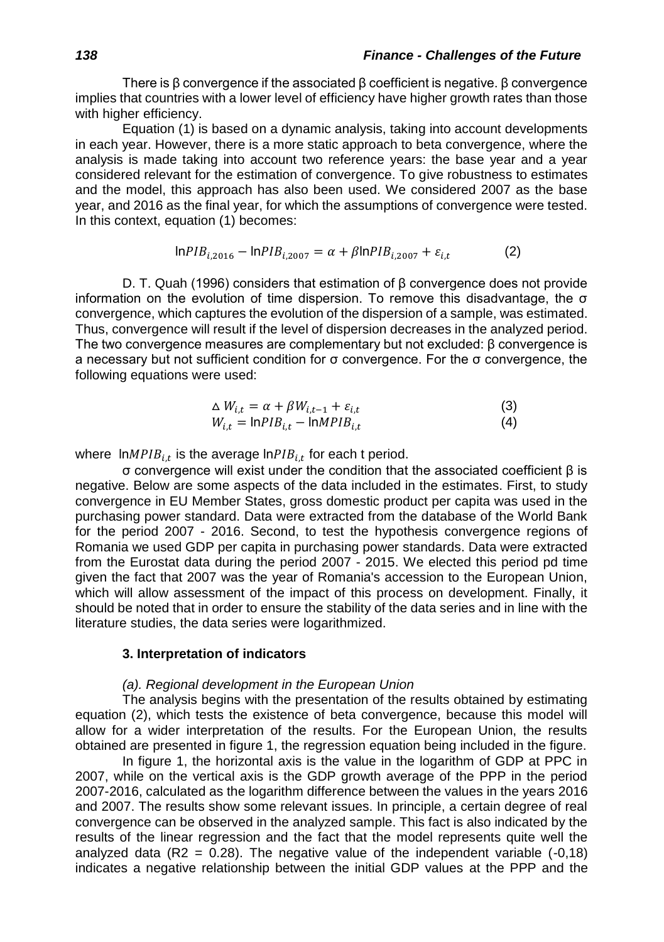There is  $\beta$  convergence if the associated  $\beta$  coefficient is negative.  $\beta$  convergence implies that countries with a lower level of efficiency have higher growth rates than those with higher efficiency.

Equation (1) is based on a dynamic analysis, taking into account developments in each year. However, there is a more static approach to beta convergence, where the analysis is made taking into account two reference years: the base year and a year considered relevant for the estimation of convergence. To give robustness to estimates and the model, this approach has also been used. We considered 2007 as the base year, and 2016 as the final year, for which the assumptions of convergence were tested. In this context, equation (1) becomes:

$$
InPIB_{i,2016} - InPIB_{i,2007} = \alpha + \beta InPIB_{i,2007} + \varepsilon_{i,t}
$$
 (2)

D. T. Quah (1996) considers that estimation of β convergence does not provide information on the evolution of time dispersion. To remove this disadvantage, the  $σ$ convergence, which captures the evolution of the dispersion of a sample, was estimated. Thus, convergence will result if the level of dispersion decreases in the analyzed period. The two convergence measures are complementary but not excluded: β convergence is a necessary but not sufficient condition for σ convergence. For the σ convergence, the following equations were used:

$$
\Delta W_{i,t} = \alpha + \beta W_{i,t-1} + \varepsilon_{i,t}
$$
\n(3)  
\n
$$
W_{i,t} = \ln PIB_{i,t} - \ln MPIB_{i,t}
$$
\n(4)

where ln $MPI_{i,t}$  is the average ln $PIB_{i,t}$  for each t period.

σ convergence will exist under the condition that the associated coefficient β is negative. Below are some aspects of the data included in the estimates. First, to study convergence in EU Member States, gross domestic product per capita was used in the purchasing power standard. Data were extracted from the database of the World Bank for the period 2007 - 2016. Second, to test the hypothesis convergence regions of Romania we used GDP per capita in purchasing power standards. Data were extracted from the Eurostat data during the period 2007 - 2015. We elected this period pd time given the fact that 2007 was the year of Romania's accession to the European Union, which will allow assessment of the impact of this process on development. Finally, it should be noted that in order to ensure the stability of the data series and in line with the literature studies, the data series were logarithmized.

#### **3. Interpretation of indicators**

#### *(a). Regional development in the European Union*

The analysis begins with the presentation of the results obtained by estimating equation (2), which tests the existence of beta convergence, because this model will allow for a wider interpretation of the results. For the European Union, the results obtained are presented in figure 1, the regression equation being included in the figure.

In figure 1, the horizontal axis is the value in the logarithm of GDP at PPC in 2007, while on the vertical axis is the GDP growth average of the PPP in the period 2007-2016, calculated as the logarithm difference between the values in the years 2016 and 2007. The results show some relevant issues. In principle, a certain degree of real convergence can be observed in the analyzed sample. This fact is also indicated by the results of the linear regression and the fact that the model represents quite well the analyzed data  $(R2 = 0.28)$ . The negative value of the independent variable  $(-0.18)$ indicates a negative relationship between the initial GDP values at the PPP and the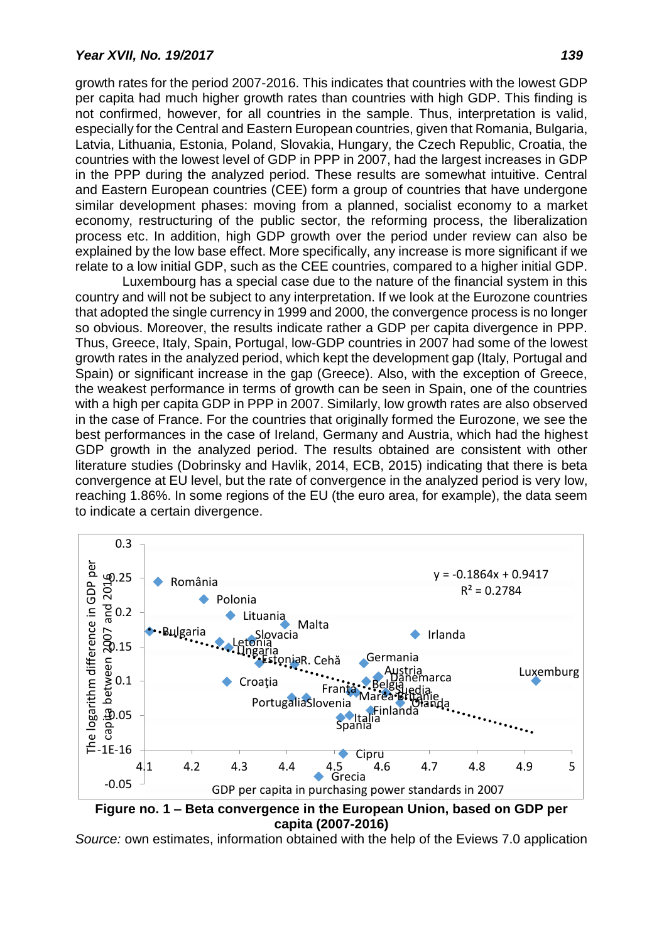growth rates for the period 2007-2016. This indicates that countries with the lowest GDP per capita had much higher growth rates than countries with high GDP. This finding is not confirmed, however, for all countries in the sample. Thus, interpretation is valid, especially for the Central and Eastern European countries, given that Romania, Bulgaria, Latvia, Lithuania, Estonia, Poland, Slovakia, Hungary, the Czech Republic, Croatia, the countries with the lowest level of GDP in PPP in 2007, had the largest increases in GDP in the PPP during the analyzed period. These results are somewhat intuitive. Central and Eastern European countries (CEE) form a group of countries that have undergone similar development phases: moving from a planned, socialist economy to a market economy, restructuring of the public sector, the reforming process, the liberalization process etc. In addition, high GDP growth over the period under review can also be explained by the low base effect. More specifically, any increase is more significant if we relate to a low initial GDP, such as the CEE countries, compared to a higher initial GDP.

Luxembourg has a special case due to the nature of the financial system in this country and will not be subject to any interpretation. If we look at the Eurozone countries that adopted the single currency in 1999 and 2000, the convergence process is no longer so obvious. Moreover, the results indicate rather a GDP per capita divergence in PPP. Thus, Greece, Italy, Spain, Portugal, low-GDP countries in 2007 had some of the lowest growth rates in the analyzed period, which kept the development gap (Italy, Portugal and Spain) or significant increase in the gap (Greece). Also, with the exception of Greece, the weakest performance in terms of growth can be seen in Spain, one of the countries with a high per capita GDP in PPP in 2007. Similarly, low growth rates are also observed in the case of France. For the countries that originally formed the Eurozone, we see the best performances in the case of Ireland, Germany and Austria, which had the highest GDP growth in the analyzed period. The results obtained are consistent with other literature studies (Dobrinsky and Havlik, 2014, ECB, 2015) indicating that there is beta convergence at EU level, but the rate of convergence in the analyzed period is very low, reaching 1.86%. In some regions of the EU (the euro area, for example), the data seem to indicate a certain divergence.



**Figure no. 1 – Beta convergence in the European Union, based on GDP per capita (2007-2016)**

*Source:* own estimates, information obtained with the help of the Eviews 7.0 application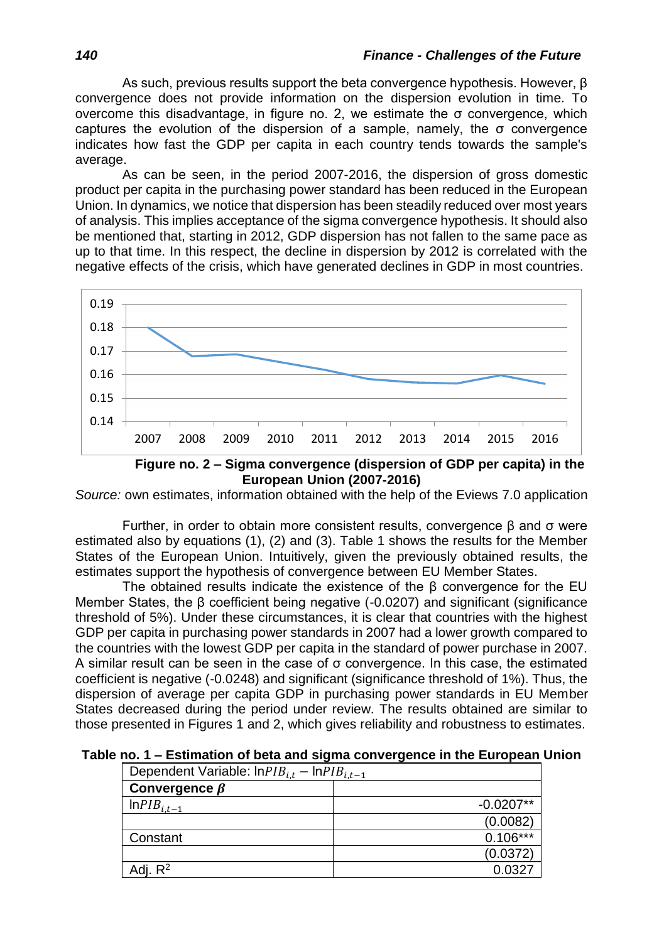As such, previous results support the beta convergence hypothesis. However, β convergence does not provide information on the dispersion evolution in time. To overcome this disadvantage, in figure no. 2, we estimate the σ convergence, which captures the evolution of the dispersion of a sample, namely, the  $\sigma$  convergence indicates how fast the GDP per capita in each country tends towards the sample's average.

As can be seen, in the period 2007-2016, the dispersion of gross domestic product per capita in the purchasing power standard has been reduced in the European Union. In dynamics, we notice that dispersion has been steadily reduced over most years of analysis. This implies acceptance of the sigma convergence hypothesis. It should also be mentioned that, starting in 2012, GDP dispersion has not fallen to the same pace as up to that time. In this respect, the decline in dispersion by 2012 is correlated with the negative effects of the crisis, which have generated declines in GDP in most countries.



**Figure no. 2 – Sigma convergence (dispersion of GDP per capita) in the European Union (2007-2016)**

*Source:* own estimates, information obtained with the help of the Eviews 7.0 application

Further, in order to obtain more consistent results, convergence β and σ were estimated also by equations (1), (2) and (3). Table 1 shows the results for the Member States of the European Union. Intuitively, given the previously obtained results, the estimates support the hypothesis of convergence between EU Member States.

The obtained results indicate the existence of the β convergence for the EU Member States, the β coefficient being negative (-0.0207) and significant (significance threshold of 5%). Under these circumstances, it is clear that countries with the highest GDP per capita in purchasing power standards in 2007 had a lower growth compared to the countries with the lowest GDP per capita in the standard of power purchase in 2007. A similar result can be seen in the case of σ convergence. In this case, the estimated coefficient is negative (-0.0248) and significant (significance threshold of 1%). Thus, the dispersion of average per capita GDP in purchasing power standards in EU Member States decreased during the period under review. The results obtained are similar to those presented in Figures 1 and 2, which gives reliability and robustness to estimates.

**Table no. 1 – Estimation of beta and sigma convergence in the European Union**

| Dependent Variable: $lnPIB_{i,t} - lnPIB_{i,t-1}$ |             |
|---------------------------------------------------|-------------|
| Convergence $\beta$                               |             |
| $InPIB_{i,t-1}$                                   | $-0.0207**$ |
|                                                   | (0.0082)    |
| Constant                                          | $0.106***$  |
|                                                   | (0.0372)    |
| Adj. $R^2$                                        | 0.0327      |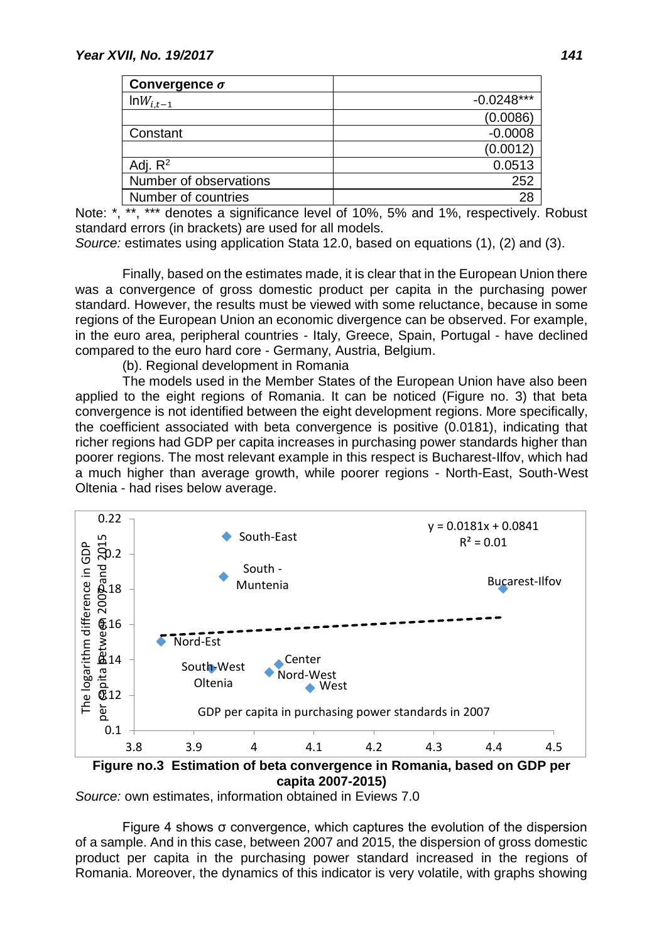| Convergence $\sigma$   |              |
|------------------------|--------------|
| $\text{ln}W_{i,t-1}$   | $-0.0248***$ |
|                        | (0.0086)     |
| Constant               | $-0.0008$    |
|                        | (0.0012)     |
| Adj. $R^2$             | 0.0513       |
| Number of observations | 252          |
| Number of countries    | 28           |

Note: \*, \*\*, \*\*\* denotes a significance level of 10%, 5% and 1%, respectively. Robust standard errors (in brackets) are used for all models.

*Source:* estimates using application Stata 12.0, based on equations (1), (2) and (3).

Finally, based on the estimates made, it is clear that in the European Union there was a convergence of gross domestic product per capita in the purchasing power standard. However, the results must be viewed with some reluctance, because in some regions of the European Union an economic divergence can be observed. For example, in the euro area, peripheral countries - Italy, Greece, Spain, Portugal - have declined compared to the euro hard core - Germany, Austria, Belgium.

(b). Regional development in Romania

The models used in the Member States of the European Union have also been applied to the eight regions of Romania. It can be noticed (Figure no. 3) that beta convergence is not identified between the eight development regions. More specifically, the coefficient associated with beta convergence is positive (0.0181), indicating that richer regions had GDP per capita increases in purchasing power standards higher than poorer regions. The most relevant example in this respect is Bucharest-Ilfov, which had a much higher than average growth, while poorer regions - North-East, South-West Oltenia - had rises below average.



**capita 2007-2015)**

*Source:* own estimates, information obtained in Eviews 7.0

Figure 4 shows σ convergence, which captures the evolution of the dispersion of a sample. And in this case, between 2007 and 2015, the dispersion of gross domestic product per capita in the purchasing power standard increased in the regions of Romania. Moreover, the dynamics of this indicator is very volatile, with graphs showing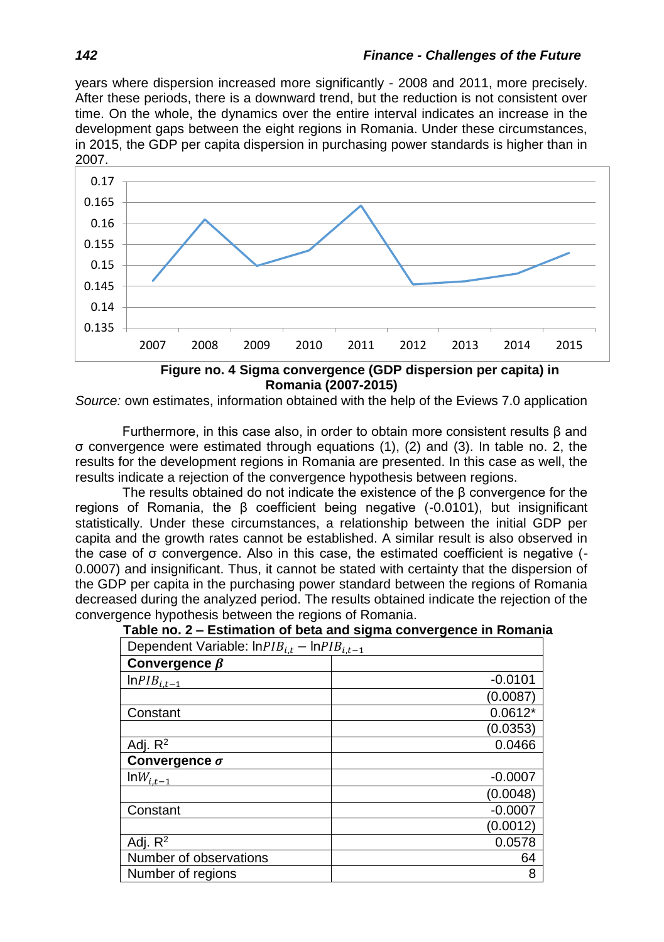years where dispersion increased more significantly - 2008 and 2011, more precisely. After these periods, there is a downward trend, but the reduction is not consistent over time. On the whole, the dynamics over the entire interval indicates an increase in the development gaps between the eight regions in Romania. Under these circumstances, in 2015, the GDP per capita dispersion in purchasing power standards is higher than in 2007.



**Figure no. 4 Sigma convergence (GDP dispersion per capita) in Romania (2007-2015)**

*Source:* own estimates, information obtained with the help of the Eviews 7.0 application

Furthermore, in this case also, in order to obtain more consistent results β and σ convergence were estimated through equations (1), (2) and (3). In table no. 2, the results for the development regions in Romania are presented. In this case as well, the results indicate a rejection of the convergence hypothesis between regions.

The results obtained do not indicate the existence of the  $\beta$  convergence for the regions of Romania, the β coefficient being negative  $(-0.0101)$ , but insignificant statistically. Under these circumstances, a relationship between the initial GDP per capita and the growth rates cannot be established. A similar result is also observed in the case of σ convergence. Also in this case, the estimated coefficient is negative (- 0.0007) and insignificant. Thus, it cannot be stated with certainty that the dispersion of the GDP per capita in the purchasing power standard between the regions of Romania decreased during the analyzed period. The results obtained indicate the rejection of the convergence hypothesis between the regions of Romania.

| Dependent Variable: $lnPIB_{i,t} - lnPIB_{i,t-1}$ |           |
|---------------------------------------------------|-----------|
| Convergence $\beta$                               |           |
| $InPIB_{i,t-1}$                                   | $-0.0101$ |
|                                                   | (0.0087)  |
| Constant                                          | $0.0612*$ |
|                                                   | (0.0353)  |
| Adj. $R^2$                                        | 0.0466    |
| Convergence $\sigma$                              |           |
| $\text{ln}W_{i,\underline{t-1}}$                  | $-0.0007$ |
|                                                   | (0.0048)  |
| Constant                                          | $-0.0007$ |
|                                                   | (0.0012)  |
| Adj. $R^2$                                        | 0.0578    |
| Number of observations                            | 64        |
| Number of regions                                 | 8         |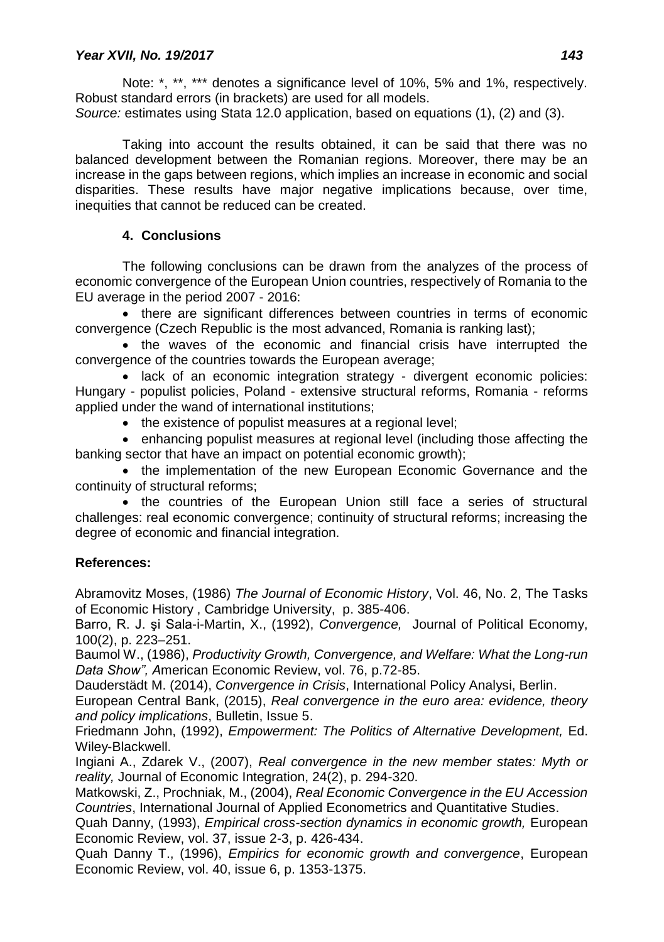Note: \*, \*\*, \*\*\* denotes a significance level of 10%, 5% and 1%, respectively. Robust standard errors (in brackets) are used for all models.

*Source:* estimates using Stata 12.0 application, based on equations (1), (2) and (3).

Taking into account the results obtained, it can be said that there was no balanced development between the Romanian regions. Moreover, there may be an increase in the gaps between regions, which implies an increase in economic and social disparities. These results have major negative implications because, over time, inequities that cannot be reduced can be created.

## **4. Conclusions**

The following conclusions can be drawn from the analyzes of the process of economic convergence of the European Union countries, respectively of Romania to the EU average in the period 2007 - 2016:

• there are significant differences between countries in terms of economic convergence (Czech Republic is the most advanced, Romania is ranking last);

• the waves of the economic and financial crisis have interrupted the convergence of the countries towards the European average;

• lack of an economic integration strategy - divergent economic policies: Hungary - populist policies, Poland - extensive structural reforms, Romania - reforms applied under the wand of international institutions;

• the existence of populist measures at a regional level:

 enhancing populist measures at regional level (including those affecting the banking sector that have an impact on potential economic growth);

• the implementation of the new European Economic Governance and the continuity of structural reforms;

• the countries of the European Union still face a series of structural challenges: real economic convergence; continuity of structural reforms; increasing the degree of economic and financial integration.

# **References:**

Abramovitz Moses, (1986) *The Journal of Economic History*, Vol. 46, No. 2, The Tasks of Economic History , Cambridge University, p. 385-406.

Barro, R. J. şi Sala-i-Martin, X., (1992), *Convergence,* Journal of Political Economy, 100(2), p. 223–251.

Baumol W., (1986), *Productivity Growth, Convergence, and Welfare: What the Long-run Data Show", A*merican Economic Review, vol. 76, p.72-85.

Dauderstädt M. (2014), *Convergence in Crisis*, International Policy Analysi, Berlin.

European Central Bank, (2015), *Real convergence in the euro area: evidence, theory and policy implications*, Bulletin, Issue 5.

Friedmann John, (1992), *Empowerment: The Politics of Alternative Development,* Ed. Wiley-Blackwell.

Ingiani A., Zdarek V., (2007), *Real convergence in the new member states: Myth or reality,* Journal of Economic Integration, 24(2), p. 294-320.

Matkowski, Z., Prochniak, M., (2004), *Real Economic Convergence in the EU Accession Countries*, International Journal of Applied Econometrics and Quantitative Studies.

Quah Danny, (1993), *Empirical cross-section dynamics in economic growth,* European Economic Review, vol. 37, issue 2-3, p. 426-434.

Quah Danny T., (1996), *Empirics for economic growth and convergence*, European Economic Review, vol. 40, issue 6, p. 1353-1375.